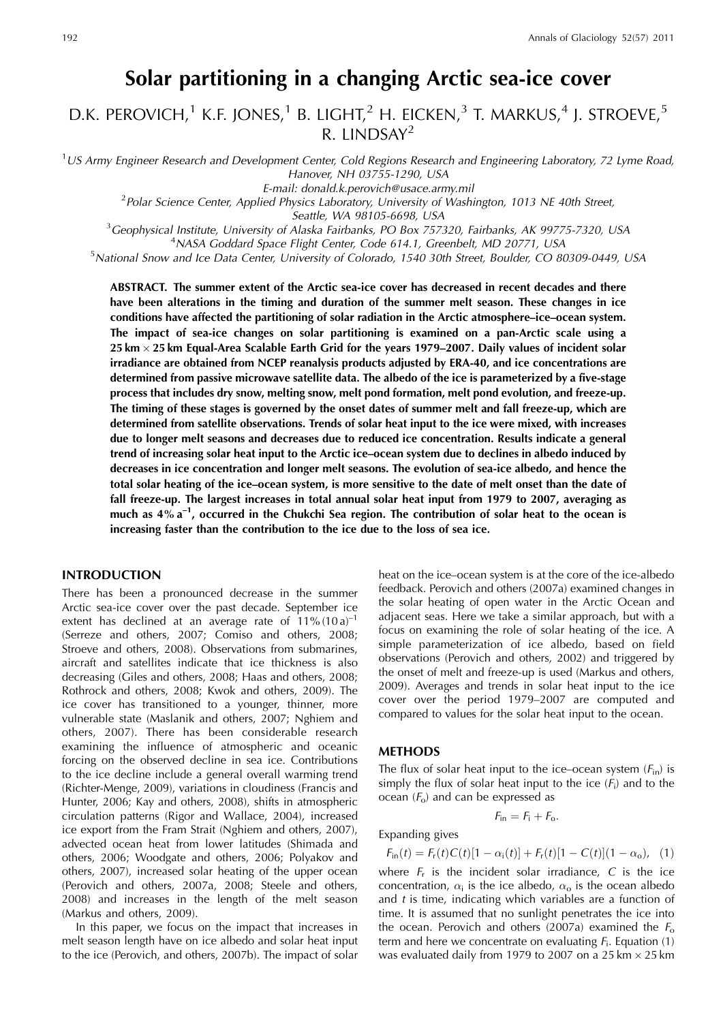# **Solar partitioning in a changing Arctic sea-ice cover**

D.K. PEROVICH, $^1$  K.F. JONES, $^1$  B. LIGHT, $^2$  H. EICKEN, $^3$  T. MARKUS, $^4$  J. STROEVE, $^5$ R. LINDSAY<sup>2</sup>

<sup>1</sup>US Army Engineer Research and Development Center, Cold Regions Research and Engineering Laboratory, 72 Lyme Road, Hanover, NH 03755-1290, USA

E-mail: donald.k.perovich@usace.army.mil<br>Polar Science Center, Applied Physics Laboratory, University of Washington, 1013 NE 40th Street, <sup>2</sup>

Seattle, WA 98105-6698, USA<br><sup>3</sup> Coophysical Institute, University of Alaska Eairbanks, PO Box 757 Geophysical Institute, University of Alaska Fairbanks, PO Box 757320, Fairbanks, AK 99775-7320, USA <sup>4</sup>

<sup>4</sup>NASA Goddard Space Flight Center, Code 614.1, Greenbelt, MD 20771, USA

<sup>5</sup> National Snow and Ice Data Center, University of Colorado, 1540 30th Street, Boulder, CO 80309-0449, USA

**ABSTRACT. The summer extent of the Arctic sea-ice cover has decreased in recent decades and there have been alterations in the timing and duration of the summer melt season. These changes in ice conditions have affected the partitioning of solar radiation in the Arctic atmosphere–ice–ocean system. The impact of sea-ice changes on solar partitioning is examined on a pan-Arctic scale using a 25 km** - **25 km Equal-Area Scalable Earth Grid for the years 1979–2007. Daily values of incident solar irradiance are obtained from NCEP reanalysis products adjusted by ERA-40, and ice concentrations are determined from passive microwave satellite data. The albedo of the ice is parameterized by a five-stage process that includes dry snow, melting snow, melt pond formation, melt pond evolution, and freeze-up. The timing of these stages is governed by the onset dates of summer melt and fall freeze-up, which are determined from satellite observations. Trends of solar heat input to the ice were mixed, with increases due to longer melt seasons and decreases due to reduced ice concentration. Results indicate a general trend of increasing solar heat input to the Arctic ice–ocean system due to declines in albedo induced by decreases in ice concentration and longer melt seasons. The evolution of sea-ice albedo, and hence the total solar heating of the ice–ocean system, is more sensitive to the date of melt onset than the date of fall freeze-up. The largest increases in total annual solar heat input from 1979 to 2007, averaging as much as 4% a–1, occurred in the Chukchi Sea region. The contribution of solar heat to the ocean is increasing faster than the contribution to the ice due to the loss of sea ice.**

#### **INTRODUCTION**

There has been a pronounced decrease in the summer Arctic sea-ice cover over the past decade. September ice extent has declined at an average rate of  $11\% (10a)^{-1}$ (Serreze and others, 2007; Comiso and others, 2008; Stroeve and others, 2008). Observations from submarines, aircraft and satellites indicate that ice thickness is also decreasing (Giles and others, 2008; Haas and others, 2008; Rothrock and others, 2008; Kwok and others, 2009). The ice cover has transitioned to a younger, thinner, more vulnerable state (Maslanik and others, 2007; Nghiem and others, 2007). There has been considerable research examining the influence of atmospheric and oceanic forcing on the observed decline in sea ice. Contributions to the ice decline include a general overall warming trend (Richter-Menge, 2009), variations in cloudiness (Francis and Hunter, 2006; Kay and others, 2008), shifts in atmospheric circulation patterns (Rigor and Wallace, 2004), increased ice export from the Fram Strait (Nghiem and others, 2007), advected ocean heat from lower latitudes (Shimada and others, 2006; Woodgate and others, 2006; Polyakov and others, 2007), increased solar heating of the upper ocean (Perovich and others, 2007a, 2008; Steele and others, 2008) and increases in the length of the melt season (Markus and others, 2009).

In this paper, we focus on the impact that increases in melt season length have on ice albedo and solar heat input to the ice (Perovich, and others, 2007b). The impact of solar

heat on the ice–ocean system is at the core of the ice-albedo feedback. Perovich and others (2007a) examined changes in the solar heating of open water in the Arctic Ocean and adjacent seas. Here we take a similar approach, but with a focus on examining the role of solar heating of the ice. A simple parameterization of ice albedo, based on field observations (Perovich and others, 2002) and triggered by the onset of melt and freeze-up is used (Markus and others, 2009). Averages and trends in solar heat input to the ice cover over the period 1979–2007 are computed and compared to values for the solar heat input to the ocean.

## **METHODS**

The flux of solar heat input to the ice–ocean system  $(F_{in})$  is simply the flux of solar heat input to the ice  $(F_i)$  and to the ocean  $(F<sub>o</sub>)$  and can be expressed as

$$
F_{\rm in} = F_{\rm i} + F_{\rm o}.
$$

Expanding gives

$$
F_{\rm in}(t) = F_{\rm r}(t)C(t)[1 - \alpha_{\rm i}(t)] + F_{\rm r}(t)[1 - C(t)](1 - \alpha_{\rm o}), \quad (1)
$$

where  $F_r$  is the incident solar irradiance, C is the ice concentration,  $\alpha_i$  is the ice albedo,  $\alpha_o$  is the ocean albedo and  $t$  is time, indicating which variables are a function of time. It is assumed that no sunlight penetrates the ice into the ocean. Perovich and others (2007a) examined the  $F_0$ term and here we concentrate on evaluating  $F_i$ . Equation (1) was evaluated daily from 1979 to 2007 on a 25 km  $\times$  25 km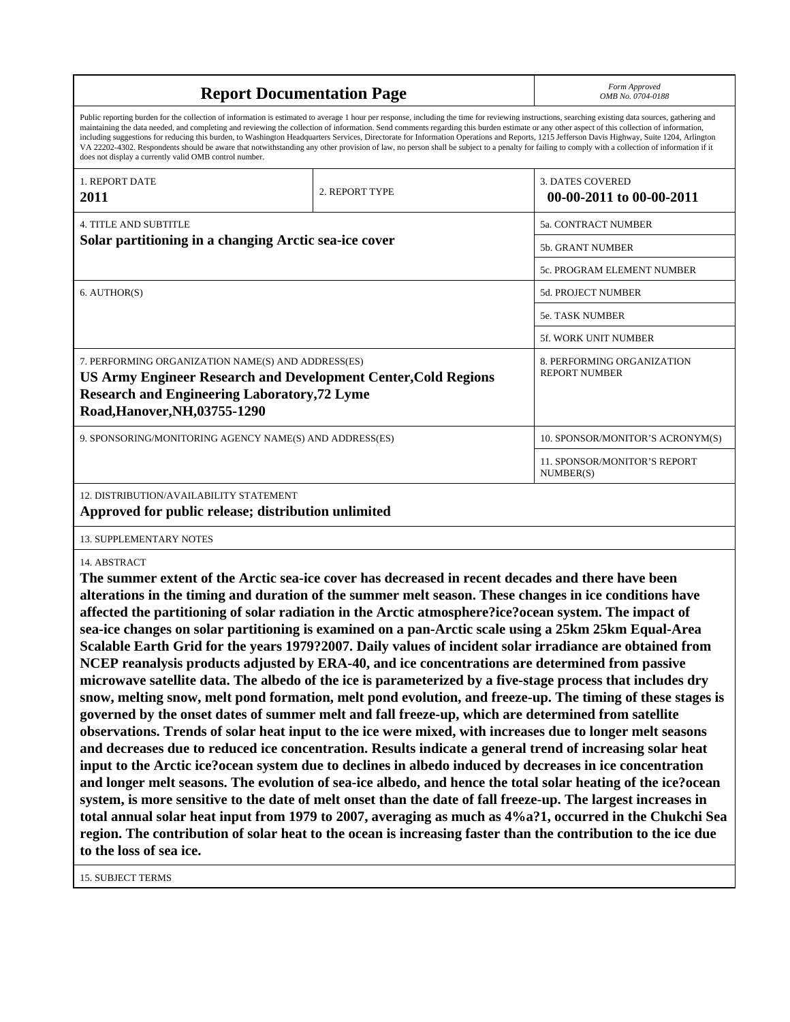| <b>Report Documentation Page</b>                                                                                                                                                                                                                                                                                                                                                                                                                                                                                                                                                                                                                                                                                                                                                                                                                                                                                                                                                                                                                                                                                                                                                                                                                                                                                                                                                                                                                                                                                                                                                                                                                                                 | Form Approved<br>OMB No. 0704-0188          |                                                     |  |  |  |  |
|----------------------------------------------------------------------------------------------------------------------------------------------------------------------------------------------------------------------------------------------------------------------------------------------------------------------------------------------------------------------------------------------------------------------------------------------------------------------------------------------------------------------------------------------------------------------------------------------------------------------------------------------------------------------------------------------------------------------------------------------------------------------------------------------------------------------------------------------------------------------------------------------------------------------------------------------------------------------------------------------------------------------------------------------------------------------------------------------------------------------------------------------------------------------------------------------------------------------------------------------------------------------------------------------------------------------------------------------------------------------------------------------------------------------------------------------------------------------------------------------------------------------------------------------------------------------------------------------------------------------------------------------------------------------------------|---------------------------------------------|-----------------------------------------------------|--|--|--|--|
| Public reporting burden for the collection of information is estimated to average 1 hour per response, including the time for reviewing instructions, searching existing data sources, gathering and<br>maintaining the data needed, and completing and reviewing the collection of information. Send comments regarding this burden estimate or any other aspect of this collection of information,<br>including suggestions for reducing this burden, to Washington Headquarters Services, Directorate for Information Operations and Reports, 1215 Jefferson Davis Highway, Suite 1204, Arlington<br>VA 22202-4302. Respondents should be aware that notwithstanding any other provision of law, no person shall be subject to a penalty for failing to comply with a collection of information if it<br>does not display a currently valid OMB control number.                                                                                                                                                                                                                                                                                                                                                                                                                                                                                                                                                                                                                                                                                                                                                                                                               |                                             |                                                     |  |  |  |  |
| 1. REPORT DATE<br>2011                                                                                                                                                                                                                                                                                                                                                                                                                                                                                                                                                                                                                                                                                                                                                                                                                                                                                                                                                                                                                                                                                                                                                                                                                                                                                                                                                                                                                                                                                                                                                                                                                                                           | 2. REPORT TYPE                              | <b>3. DATES COVERED</b><br>00-00-2011 to 00-00-2011 |  |  |  |  |
| <b>4. TITLE AND SUBTITLE</b><br>Solar partitioning in a changing Arctic sea-ice cover                                                                                                                                                                                                                                                                                                                                                                                                                                                                                                                                                                                                                                                                                                                                                                                                                                                                                                                                                                                                                                                                                                                                                                                                                                                                                                                                                                                                                                                                                                                                                                                            |                                             | 5a. CONTRACT NUMBER                                 |  |  |  |  |
|                                                                                                                                                                                                                                                                                                                                                                                                                                                                                                                                                                                                                                                                                                                                                                                                                                                                                                                                                                                                                                                                                                                                                                                                                                                                                                                                                                                                                                                                                                                                                                                                                                                                                  |                                             | 5b. GRANT NUMBER                                    |  |  |  |  |
|                                                                                                                                                                                                                                                                                                                                                                                                                                                                                                                                                                                                                                                                                                                                                                                                                                                                                                                                                                                                                                                                                                                                                                                                                                                                                                                                                                                                                                                                                                                                                                                                                                                                                  |                                             | 5c. PROGRAM ELEMENT NUMBER                          |  |  |  |  |
| 6. AUTHOR(S)                                                                                                                                                                                                                                                                                                                                                                                                                                                                                                                                                                                                                                                                                                                                                                                                                                                                                                                                                                                                                                                                                                                                                                                                                                                                                                                                                                                                                                                                                                                                                                                                                                                                     |                                             | 5d. PROJECT NUMBER                                  |  |  |  |  |
|                                                                                                                                                                                                                                                                                                                                                                                                                                                                                                                                                                                                                                                                                                                                                                                                                                                                                                                                                                                                                                                                                                                                                                                                                                                                                                                                                                                                                                                                                                                                                                                                                                                                                  |                                             | 5e. TASK NUMBER                                     |  |  |  |  |
|                                                                                                                                                                                                                                                                                                                                                                                                                                                                                                                                                                                                                                                                                                                                                                                                                                                                                                                                                                                                                                                                                                                                                                                                                                                                                                                                                                                                                                                                                                                                                                                                                                                                                  |                                             | 5f. WORK UNIT NUMBER                                |  |  |  |  |
| 7. PERFORMING ORGANIZATION NAME(S) AND ADDRESS(ES)<br><b>US Army Engineer Research and Development Center, Cold Regions</b><br><b>Research and Engineering Laboratory, 72 Lyme</b><br>Road, Hanover, NH, 03755-1290                                                                                                                                                                                                                                                                                                                                                                                                                                                                                                                                                                                                                                                                                                                                                                                                                                                                                                                                                                                                                                                                                                                                                                                                                                                                                                                                                                                                                                                              | 8. PERFORMING ORGANIZATION<br>REPORT NUMBER |                                                     |  |  |  |  |
| 9. SPONSORING/MONITORING AGENCY NAME(S) AND ADDRESS(ES)                                                                                                                                                                                                                                                                                                                                                                                                                                                                                                                                                                                                                                                                                                                                                                                                                                                                                                                                                                                                                                                                                                                                                                                                                                                                                                                                                                                                                                                                                                                                                                                                                          |                                             | 10. SPONSOR/MONITOR'S ACRONYM(S)                    |  |  |  |  |
|                                                                                                                                                                                                                                                                                                                                                                                                                                                                                                                                                                                                                                                                                                                                                                                                                                                                                                                                                                                                                                                                                                                                                                                                                                                                                                                                                                                                                                                                                                                                                                                                                                                                                  | 11. SPONSOR/MONITOR'S REPORT<br>NUMBER(S)   |                                                     |  |  |  |  |
| 12. DISTRIBUTION/AVAILABILITY STATEMENT<br>Approved for public release; distribution unlimited                                                                                                                                                                                                                                                                                                                                                                                                                                                                                                                                                                                                                                                                                                                                                                                                                                                                                                                                                                                                                                                                                                                                                                                                                                                                                                                                                                                                                                                                                                                                                                                   |                                             |                                                     |  |  |  |  |
| <b>13. SUPPLEMENTARY NOTES</b>                                                                                                                                                                                                                                                                                                                                                                                                                                                                                                                                                                                                                                                                                                                                                                                                                                                                                                                                                                                                                                                                                                                                                                                                                                                                                                                                                                                                                                                                                                                                                                                                                                                   |                                             |                                                     |  |  |  |  |
| 14. ABSTRACT<br>The summer extent of the Arctic sea-ice cover has decreased in recent decades and there have been<br>alterations in the timing and duration of the summer melt season. These changes in ice conditions have<br>affected the partitioning of solar radiation in the Arctic atmosphere?ice?ocean system. The impact of<br>sea-ice changes on solar partitioning is examined on a pan-Arctic scale using a 25km 25km Equal-Area<br>Scalable Earth Grid for the years 1979?2007. Daily values of incident solar irradiance are obtained from<br>NCEP reanalysis products adjusted by ERA-40, and ice concentrations are determined from passive<br>microwave satellite data. The albedo of the ice is parameterized by a five-stage process that includes dry<br>snow, melting snow, melt pond formation, melt pond evolution, and freeze-up. The timing of these stages is<br>governed by the onset dates of summer melt and fall freeze-up, which are determined from satellite<br>observations. Trends of solar heat input to the ice were mixed, with increases due to longer melt seasons<br>and decreases due to reduced ice concentration. Results indicate a general trend of increasing solar heat<br>input to the Arctic ice?ocean system due to declines in albedo induced by decreases in ice concentration<br>and longer melt seasons. The evolution of sea-ice albedo, and hence the total solar heating of the ice?ocean<br>system, is more sensitive to the date of melt onset than the date of fall freeze-up. The largest increases in<br>total annual solar heat input from 1979 to 2007, averaging as much as 4%a?1, occurred in the Chukchi Sea |                                             |                                                     |  |  |  |  |

**region. The contribution of solar heat to the ocean is increasing faster than the contribution to the ice due**

15. SUBJECT TERMS

**to the loss of sea ice.**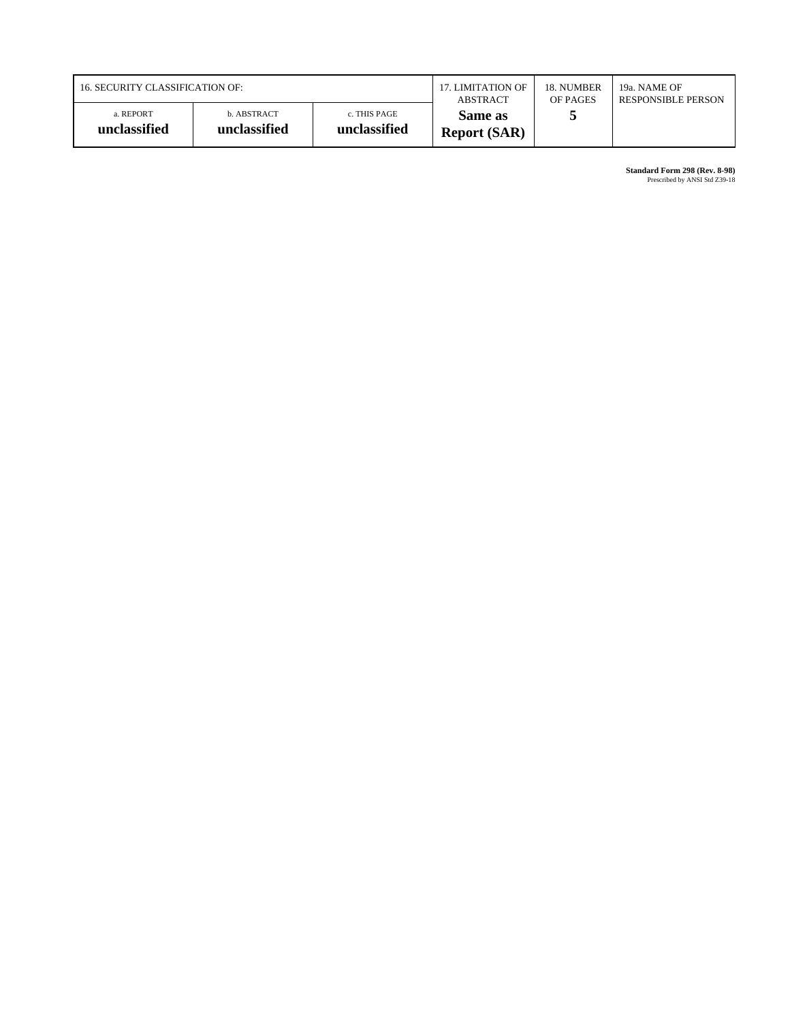| 16. SECURITY CLASSIFICATION OF: |                             |                              | 17. LIMITATION OF              | 18. NUMBER | 19a. NAME OF              |
|---------------------------------|-----------------------------|------------------------------|--------------------------------|------------|---------------------------|
|                                 |                             |                              | ABSTRACT                       | OF PAGES   | <b>RESPONSIBLE PERSON</b> |
| a. REPORT<br>unclassified       | b. ABSTRACT<br>unclassified | c. THIS PAGE<br>unclassified | Same as<br><b>Report (SAR)</b> |            |                           |

**Standard Form 298 (Rev. 8-98)**<br>Prescribed by ANSI Std Z39-18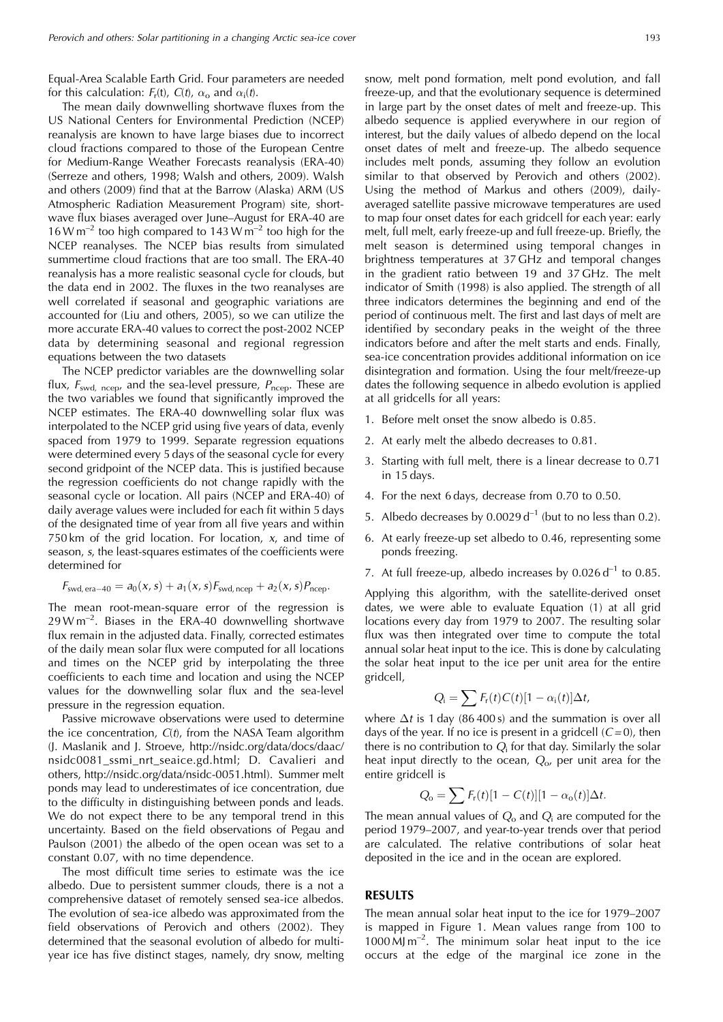The mean daily downwelling shortwave fluxes from the US National Centers for Environmental Prediction (NCEP) reanalysis are known to have large biases due to incorrect cloud fractions compared to those of the European Centre for Medium-Range Weather Forecasts reanalysis (ERA-40) (Serreze and others, 1998; Walsh and others, 2009). Walsh and others (2009) find that at the Barrow (Alaska) ARM (US Atmospheric Radiation Measurement Program) site, shortwave flux biases averaged over June–August for ERA-40 are  $16$  W m<sup>-2</sup> too high compared to 143 W m<sup>-2</sup> too high for the NCEP reanalyses. The NCEP bias results from simulated summertime cloud fractions that are too small. The ERA-40 reanalysis has a more realistic seasonal cycle for clouds, but the data end in 2002. The fluxes in the two reanalyses are well correlated if seasonal and geographic variations are accounted for (Liu and others, 2005), so we can utilize the more accurate ERA-40 values to correct the post-2002 NCEP data by determining seasonal and regional regression equations between the two datasets

The NCEP predictor variables are the downwelling solar flux,  $F_{\text{swd,ncep}}$ , and the sea-level pressure,  $P_{\text{ncep}}$ . These are the two variables we found that significantly improved the NCEP estimates. The ERA-40 downwelling solar flux was interpolated to the NCEP grid using five years of data, evenly spaced from 1979 to 1999. Separate regression equations were determined every 5 days of the seasonal cycle for every second gridpoint of the NCEP data. This is justified because the regression coefficients do not change rapidly with the seasonal cycle or location. All pairs (NCEP and ERA-40) of daily average values were included for each fit within 5 days of the designated time of year from all five years and within 750 km of the grid location. For location,  $x$ , and time of season, s, the least-squares estimates of the coefficients were determined for

$$
F_{\text{swd, era-40}} = a_0(x, s) + a_1(x, s) F_{\text{swd,ncep}} + a_2(x, s) P_{\text{ncep}}.
$$

The mean root-mean-square error of the regression is  $29 \text{ W m}^{-2}$ . Biases in the ERA-40 downwelling shortwave flux remain in the adjusted data. Finally, corrected estimates of the daily mean solar flux were computed for all locations and times on the NCEP grid by interpolating the three coefficients to each time and location and using the NCEP values for the downwelling solar flux and the sea-level pressure in the regression equation.

Passive microwave observations were used to determine the ice concentration,  $C(t)$ , from the NASA Team algorithm (J. Maslanik and J. Stroeve, http://nsidc.org/data/docs/daac/ nsidc0081\_ssmi\_nrt\_seaice.gd.html; D. Cavalieri and others, http://nsidc.org/data/nsidc-0051.html). Summer melt ponds may lead to underestimates of ice concentration, due to the difficulty in distinguishing between ponds and leads. We do not expect there to be any temporal trend in this uncertainty. Based on the field observations of Pegau and Paulson (2001) the albedo of the open ocean was set to a constant 0.07, with no time dependence.

The most difficult time series to estimate was the ice albedo. Due to persistent summer clouds, there is a not a comprehensive dataset of remotely sensed sea-ice albedos. The evolution of sea-ice albedo was approximated from the field observations of Perovich and others (2002). They determined that the seasonal evolution of albedo for multiyear ice has five distinct stages, namely, dry snow, melting snow, melt pond formation, melt pond evolution, and fall freeze-up, and that the evolutionary sequence is determined in large part by the onset dates of melt and freeze-up. This albedo sequence is applied everywhere in our region of interest, but the daily values of albedo depend on the local onset dates of melt and freeze-up. The albedo sequence includes melt ponds, assuming they follow an evolution similar to that observed by Perovich and others (2002). Using the method of Markus and others (2009), dailyaveraged satellite passive microwave temperatures are used to map four onset dates for each gridcell for each year: early melt, full melt, early freeze-up and full freeze-up. Briefly, the melt season is determined using temporal changes in brightness temperatures at 37 GHz and temporal changes in the gradient ratio between 19 and 37 GHz. The melt indicator of Smith (1998) is also applied. The strength of all three indicators determines the beginning and end of the period of continuous melt. The first and last days of melt are identified by secondary peaks in the weight of the three indicators before and after the melt starts and ends. Finally, sea-ice concentration provides additional information on ice disintegration and formation. Using the four melt/freeze-up dates the following sequence in albedo evolution is applied at all gridcells for all years:

- 1. Before melt onset the snow albedo is 0.85.
- 2. At early melt the albedo decreases to 0.81.
- 3. Starting with full melt, there is a linear decrease to 0.71 in 15 days.
- 4. For the next 6 days, decrease from 0.70 to 0.50.
- 5. Albedo decreases by  $0.0029 d^{-1}$  (but to no less than 0.2).
- 6. At early freeze-up set albedo to 0.46, representing some ponds freezing.
- 7. At full freeze-up, albedo increases by  $0.026 d^{-1}$  to  $0.85$ .

Applying this algorithm, with the satellite-derived onset dates, we were able to evaluate Equation (1) at all grid locations every day from 1979 to 2007. The resulting solar flux was then integrated over time to compute the total annual solar heat input to the ice. This is done by calculating the solar heat input to the ice per unit area for the entire gridcell,

$$
Q_{\rm i} = \sum F_{\rm r}(t)C(t)[1 - \alpha_{\rm i}(t)]\Delta t,
$$

where  $\Delta t$  is 1 day (86 400 s) and the summation is over all days of the year. If no ice is present in a gridcell  $(C=0)$ , then there is no contribution to  $Q_i$  for that day. Similarly the solar heat input directly to the ocean,  $Q_{o}$ , per unit area for the entire gridcell is

$$
Q_{o} = \sum F_{r}(t)[1 - C(t)][1 - \alpha_{o}(t)]\Delta t.
$$

The mean annual values of  $Q_0$  and  $Q_i$  are computed for the period 1979–2007, and year-to-year trends over that period are calculated. The relative contributions of solar heat deposited in the ice and in the ocean are explored.

## **RESULTS**

The mean annual solar heat input to the ice for 1979–2007 is mapped in Figure 1. Mean values range from 100 to 1000 MJ  $m^{-2}$ . The minimum solar heat input to the ice occurs at the edge of the marginal ice zone in the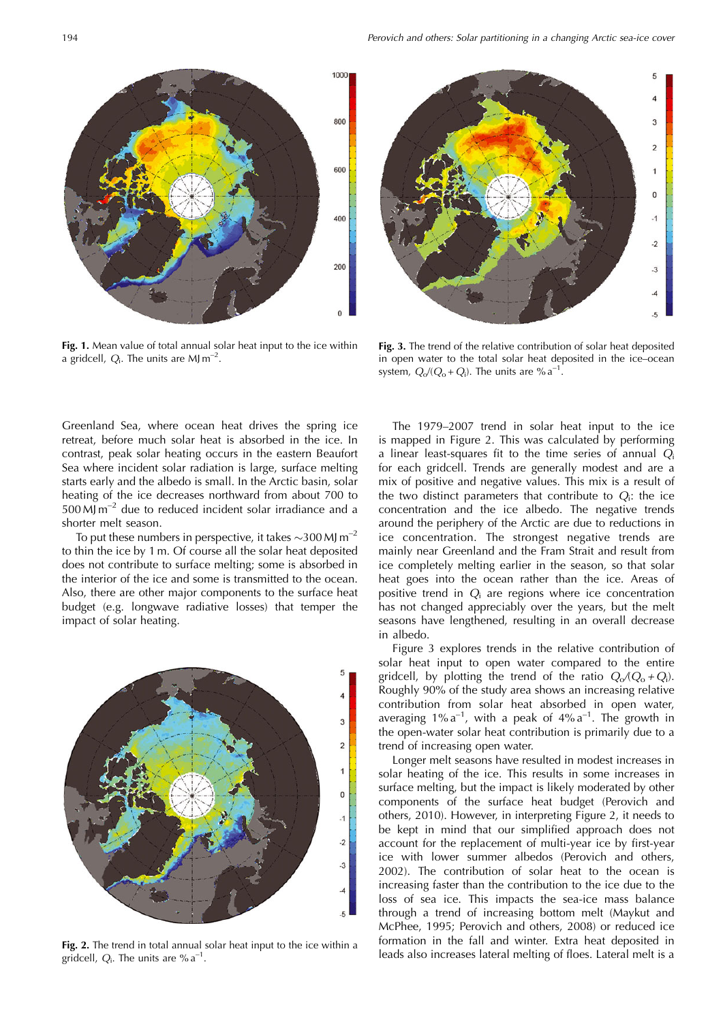

**Fig. 1.** Mean value of total annual solar heat input to the ice within a gridcell,  $Q_i$ . The units are MJ m<sup>-2</sup>.

Greenland Sea, where ocean heat drives the spring ice retreat, before much solar heat is absorbed in the ice. In contrast, peak solar heating occurs in the eastern Beaufort Sea where incident solar radiation is large, surface melting starts early and the albedo is small. In the Arctic basin, solar heating of the ice decreases northward from about 700 to 500 MJ  $m^{-2}$  due to reduced incident solar irradiance and a shorter melt season.

To put these numbers in perspective, it takes  $\sim$ 300 MJ m<sup>-2</sup> to thin the ice by 1 m. Of course all the solar heat deposited does not contribute to surface melting; some is absorbed in the interior of the ice and some is transmitted to the ocean. Also, there are other major components to the surface heat budget (e.g. longwave radiative losses) that temper the impact of solar heating.



**Fig. 2.** The trend in total annual solar heat input to the ice within a gridcell,  $Q_i$ . The units are %  $a^{-1}$ .



**Fig. 3.** The trend of the relative contribution of solar heat deposited in open water to the total solar heat deposited in the ice–ocean system,  $Q_0/(Q_0+Q_i)$ . The units are % a<sup>-1</sup>.

The 1979–2007 trend in solar heat input to the ice is mapped in Figure 2. This was calculated by performing a linear least-squares fit to the time series of annual  $Q_i$ for each gridcell. Trends are generally modest and are a mix of positive and negative values. This mix is a result of the two distinct parameters that contribute to  $Q_i$ : the ice concentration and the ice albedo. The negative trends around the periphery of the Arctic are due to reductions in ice concentration. The strongest negative trends are mainly near Greenland and the Fram Strait and result from ice completely melting earlier in the season, so that solar heat goes into the ocean rather than the ice. Areas of positive trend in  $Q_i$  are regions where ice concentration has not changed appreciably over the years, but the melt seasons have lengthened, resulting in an overall decrease in albedo.

Figure 3 explores trends in the relative contribution of solar heat input to open water compared to the entire gridcell, by plotting the trend of the ratio  $Q_0/(Q_0+Q_i)$ . Roughly 90% of the study area shows an increasing relative contribution from solar heat absorbed in open water, averaging  $1\% a^{-1}$ , with a peak of  $4\% a^{-1}$ . The growth in the open-water solar heat contribution is primarily due to a trend of increasing open water.

Longer melt seasons have resulted in modest increases in solar heating of the ice. This results in some increases in surface melting, but the impact is likely moderated by other components of the surface heat budget (Perovich and others, 2010). However, in interpreting Figure 2, it needs to be kept in mind that our simplified approach does not account for the replacement of multi-year ice by first-year ice with lower summer albedos (Perovich and others, 2002). The contribution of solar heat to the ocean is increasing faster than the contribution to the ice due to the loss of sea ice. This impacts the sea-ice mass balance through a trend of increasing bottom melt (Maykut and McPhee, 1995; Perovich and others, 2008) or reduced ice formation in the fall and winter. Extra heat deposited in leads also increases lateral melting of floes. Lateral melt is a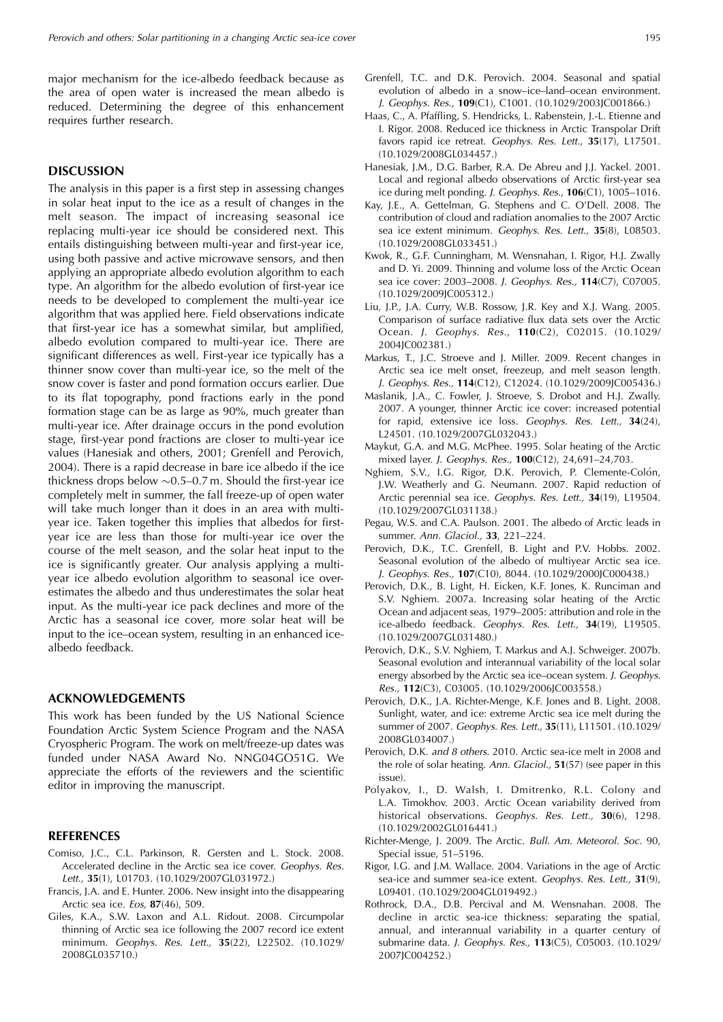major mechanism for the ice-albedo feedback because as the area of open water is increased the mean albedo is reduced. Determining the degree of this enhancement requires further research.

# **DISCUSSION**

The analysis in this paper is a first step in assessing changes in solar heat input to the ice as a result of changes in the melt season. The impact of increasing seasonal ice replacing multi-year ice should be considered next. This entails distinguishing between multi-year and first-year ice, using both passive and active microwave sensors, and then applying an appropriate albedo evolution algorithm to each type. An algorithm for the albedo evolution of first-year ice needs to be developed to complement the multi-year ice algorithm that was applied here. Field observations indicate that first-year ice has a somewhat similar, but amplified, albedo evolution compared to multi-year ice. There are significant differences as well. First-year ice typically has a thinner snow cover than multi-year ice, so the melt of the snow cover is faster and pond formation occurs earlier. Due to its flat topography, pond fractions early in the pond formation stage can be as large as 90%, much greater than multi-year ice. After drainage occurs in the pond evolution stage, first-year pond fractions are closer to multi-year ice values (Hanesiak and others, 2001; Grenfell and Perovich, 2004). There is a rapid decrease in bare ice albedo if the ice thickness drops below  $\sim 0.5-0.7$  m. Should the first-year ice completely melt in summer, the fall freeze-up of open water will take much longer than it does in an area with multiyear ice. Taken together this implies that albedos for firstyear ice are less than those for multi-year ice over the course of the melt season, and the solar heat input to the ice is significantly greater. Our analysis applying a multiyear ice albedo evolution algorithm to seasonal ice overestimates the albedo and thus underestimates the solar heat input. As the multi-year ice pack declines and more of the Arctic has a seasonal ice cover, more solar heat will be input to the ice–ocean system, resulting in an enhanced icealbedo feedback.

## **ACKNOWLEDGEMENTS**

This work has been funded by the US National Science Foundation Arctic System Science Program and the NASA Cryospheric Program. The work on melt/freeze-up dates was funded under NASA Award No. NNG04GO51G. We appreciate the efforts of the reviewers and the scientific editor in improving the manuscript.

#### **REFERENCES**

- Comiso, J.C., C.L. Parkinson, R. Gersten and L. Stock. 2008. Accelerated decline in the Arctic sea ice cover. Geophys. Res. Lett., **35**(1), L01703. (10.1029/2007GL031972.)
- Francis, J.A. and E. Hunter. 2006. New insight into the disappearing Arctic sea ice. Eos, **87**(46), 509.
- Giles, K.A., S.W. Laxon and A.L. Ridout. 2008. Circumpolar thinning of Arctic sea ice following the 2007 record ice extent minimum. Geophys. Res. Lett., **35**(22), L22502. (10.1029/ 2008GL035710.)
- Grenfell, T.C. and D.K. Perovich. 2004. Seasonal and spatial evolution of albedo in a snow–ice–land–ocean environment. J. Geophys. Res., **109**(C1), C1001. (10.1029/2003JC001866.)
- Haas, C., A. Pfaffling, S. Hendricks, L. Rabenstein, J.-L. Etienne and I. Rigor. 2008. Reduced ice thickness in Arctic Transpolar Drift favors rapid ice retreat. Geophys. Res. Lett., **35**(17), L17501. (10.1029/2008GL034457.)
- Hanesiak, J.M., D.G. Barber, R.A. De Abreu and J.J. Yackel. 2001. Local and regional albedo observations of Arctic first-year sea ice during melt ponding. J. Geophys. Res., **106**(C1), 1005–1016.
- Kay, J.E., A. Gettelman, G. Stephens and C. O'Dell. 2008. The contribution of cloud and radiation anomalies to the 2007 Arctic sea ice extent minimum. Geophys. Res. Lett., **35**(8), L08503. (10.1029/2008GL033451.)
- Kwok, R., G.F. Cunningham, M. Wensnahan, I. Rigor, H.J. Zwally and D. Yi. 2009. Thinning and volume loss of the Arctic Ocean sea ice cover: 2003–2008. J. Geophys. Res., **114**(C7), C07005. (10.1029/2009JC005312.)
- Liu, J.P., J.A. Curry, W.B. Rossow, J.R. Key and X.J. Wang. 2005. Comparison of surface radiative flux data sets over the Arctic Ocean. J. Geophys. Res., **110**(C2), C02015. (10.1029/ 2004JC002381.)
- Markus, T., J.C. Stroeve and J. Miller. 2009. Recent changes in Arctic sea ice melt onset, freezeup, and melt season length. J. Geophys. Res., **114**(C12), C12024. (10.1029/2009JC005436.)
- Maslanik, J.A., C. Fowler, J. Stroeve, S. Drobot and H.J. Zwally. 2007. A younger, thinner Arctic ice cover: increased potential for rapid, extensive ice loss. Geophys. Res. Lett., **34**(24), L24501. (10.1029/2007GL032043.)
- Maykut, G.A. and M.G. McPhee. 1995. Solar heating of the Arctic mixed layer. J. Geophys. Res., **100**(C12), 24,691–24,703.
- Nghiem, S.V., I.G. Rigor, D.K. Perovich, P. Clemente-Colón, J.W. Weatherly and G. Neumann. 2007. Rapid reduction of Arctic perennial sea ice. Geophys. Res. Lett., **34**(19), L19504. (10.1029/2007GL031138.)
- Pegau, W.S. and C.A. Paulson. 2001. The albedo of Arctic leads in summer. Ann. Glaciol., **33**, 221–224.
- Perovich, D.K., T.C. Grenfell, B. Light and P.V. Hobbs. 2002. Seasonal evolution of the albedo of multiyear Arctic sea ice. J. Geophys. Res., **107**(C10), 8044. (10.1029/2000JC000438.)
- Perovich, D.K., B. Light, H. Eicken, K.F. Jones, K. Runciman and S.V. Nghiem. 2007a. Increasing solar heating of the Arctic Ocean and adjacent seas, 1979–2005: attribution and role in the ice-albedo feedback. Geophys. Res. Lett., **34**(19), L19505. (10.1029/2007GL031480.)
- Perovich, D.K., S.V. Nghiem, T. Markus and A.J. Schweiger. 2007b. Seasonal evolution and interannual variability of the local solar energy absorbed by the Arctic sea ice–ocean system. J. Geophys. Res., **112**(C3), C03005. (10.1029/2006JC003558.)
- Perovich, D.K., J.A. Richter-Menge, K.F. Jones and B. Light. 2008. Sunlight, water, and ice: extreme Arctic sea ice melt during the summer of 2007. Geophys. Res. Lett., **35**(11), L11501. (10.1029/ 2008GL034007.)
- Perovich, D.K. and 8 others. 2010. Arctic sea-ice melt in 2008 and the role of solar heating. Ann. Glaciol., **51**(57) (see paper in this issue).
- Polyakov, I., D. Walsh, I. Dmitrenko, R.L. Colony and L.A. Timokhov. 2003. Arctic Ocean variability derived from historical observations. Geophys. Res. Lett., **30**(6), 1298. (10.1029/2002GL016441.)
- Richter-Menge, J. 2009. The Arctic. Bull. Am. Meteorol. Soc. 90, Special issue, 51–5196.
- Rigor, I.G. and J.M. Wallace. 2004. Variations in the age of Arctic sea-ice and summer sea-ice extent. Geophys. Res. Lett., **31**(9), L09401. (10.1029/2004GL019492.)
- Rothrock, D.A., D.B. Percival and M. Wensnahan. 2008. The decline in arctic sea-ice thickness: separating the spatial, annual, and interannual variability in a quarter century of submarine data. J. Geophys. Res., **113**(C5), C05003. (10.1029/ 2007JC004252.)